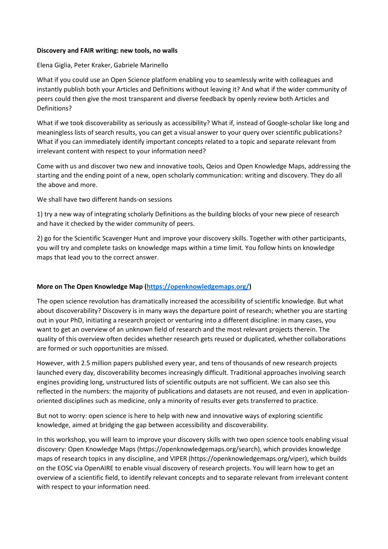## **Discovery and FAIR writing: new tools, no walls**

Elena Giglia, Peter Kraker, Gabriele Marinello

What if you could use an Open Science platform enabling you to seamlessly write with colleagues and instantly publish both your Articles and Definitions without leaving it? And what if the wider community of peers could then give the most transparent and diverse feedback by openly review both Articles and Definitions?

What if we took discoverability as seriously as accessibility? What if, instead of Google-scholar like long and meaningless lists of search results, you can get a visual answer to your query over scientific publications? What if you can immediately identify important concepts related to a topic and separate relevant from irrelevant content with respect to your information need?

Come with us and discover two new and innovative tools, Qeios and Open Knowledge Maps, addressing the starting and the ending point of a new, open scholarly communication: writing and discovery. They do all the above and more.

We shall have two different hands-on sessions

1) try a new way of integrating scholarly Definitions as the building blocks of your new piece of research and have it checked by the wider community of peers.

2) go for the Scientific Scavenger Hunt and improve your discovery skills. Together with other participants, you will try and complete tasks on knowledge maps within a time limit. You follow hints on knowledge maps that lead you to the correct answer.

## **More on The Open Knowledge Map [\(https://openknowledgemaps.org/\)](https://openknowledgemaps.org/)**

The open science revolution has dramatically increased the accessibility of scientific knowledge. But what about discoverability? Discovery is in many ways the departure point of research; whether you are starting out in your PhD, initiating a research project or venturing into a different discipline: in many cases, you want to get an overview of an unknown field of research and the most relevant projects therein. The quality of this overview often decides whether research gets reused or duplicated, whether collaborations are formed or such opportunities are missed.

However, with 2.5 million papers published every year, and tens of thousands of new research projects launched every day, discoverability becomes increasingly difficult. Traditional approaches involving search engines providing long, unstructured lists of scientific outputs are not sufficient. We can also see this reflected in the numbers: the majority of publications and datasets are not reused, and even in applicationoriented disciplines such as medicine, only a minority of results ever gets transferred to practice.

But not to worry: open science is here to help with new and innovative ways of exploring scientific knowledge, aimed at bridging the gap between accessibility and discoverability.

In this workshop, you will learn to improve your discovery skills with two open science tools enabling visual discovery: Open Knowledge Maps (https://openknowledgemaps.org/search), which provides knowledge maps of research topics in any discipline, and VIPER (https://openknowledgemaps.org/viper), which builds on the EOSC via OpenAIRE to enable visual discovery of research projects. You will learn how to get an overview of a scientific field, to identify relevant concepts and to separate relevant from irrelevant content with respect to your information need.